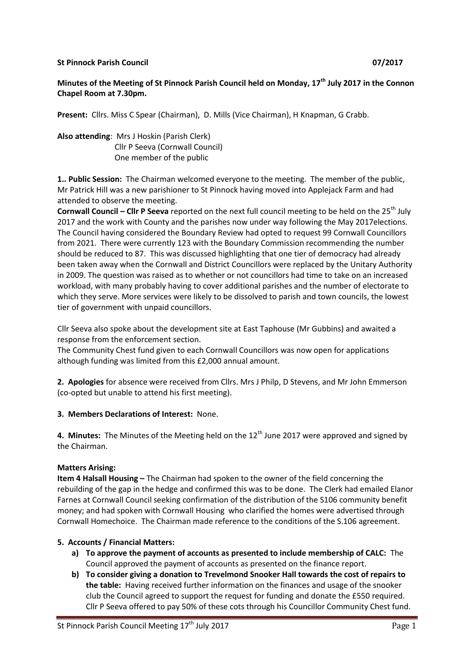### **St Pinnock Parish Council 07/2017**

# **Minutes of the Meeting of St Pinnock Parish Council held on Monday, 17th July 2017 in the Connon Chapel Room at 7.30pm.**

**Present:** Cllrs. Miss C Spear (Chairman), D. Mills (Vice Chairman), H Knapman, G Crabb.

**Also attending**: Mrs J Hoskin (Parish Clerk) Cllr P Seeva (Cornwall Council) One member of the public

**1.. Public Session:** The Chairman welcomed everyone to the meeting. The member of the public, Mr Patrick Hill was a new parishioner to St Pinnock having moved into Applejack Farm and had attended to observe the meeting.

**Cornwall Council – Clir P Seeva** reported on the next full council meeting to be held on the 25<sup>th</sup> July 2017 and the work with County and the parishes now under way following the May 2017elections. The Council having considered the Boundary Review had opted to request 99 Cornwall Councillors from 2021. There were currently 123 with the Boundary Commission recommending the number should be reduced to 87. This was discussed highlighting that one tier of democracy had already been taken away when the Cornwall and District Councillors were replaced by the Unitary Authority in 2009. The question was raised as to whether or not councillors had time to take on an increased workload, with many probably having to cover additional parishes and the number of electorate to which they serve. More services were likely to be dissolved to parish and town councils, the lowest tier of government with unpaid councillors.

Cllr Seeva also spoke about the development site at East Taphouse (Mr Gubbins) and awaited a response from the enforcement section.

The Community Chest fund given to each Cornwall Councillors was now open for applications although funding was limited from this £2,000 annual amount.

**2. Apologies** for absence were received from Cllrs. Mrs J Philp, D Stevens, and Mr John Emmerson (co-opted but unable to attend his first meeting).

#### **3. Members Declarations of Interest:** None.

**4. Minutes:** The Minutes of the Meeting held on the 12<sup>th</sup> June 2017 were approved and signed by the Chairman.

#### **Matters Arising:**

**Item 4 Halsall Housing –** The Chairman had spoken to the owner of the field concerning the rebuilding of the gap in the hedge and confirmed this was to be done. The Clerk had emailed Elanor Farnes at Cornwall Council seeking confirmation of the distribution of the S106 community benefit money; and had spoken with Cornwall Housing who clarified the homes were advertised through Cornwall Homechoice. The Chairman made reference to the conditions of the S.106 agreement.

#### **5. Accounts / Financial Matters:**

- **a) To approve the payment of accounts as presented to include membership of CALC:** The Council approved the payment of accounts as presented on the finance report.
- **b) To consider giving a donation to Trevelmond Snooker Hall towards the cost of repairs to the table:** Having received further information on the finances and usage of the snooker club the Council agreed to support the request for funding and donate the £550 required. Cllr P Seeva offered to pay 50% of these cots through his Councillor Community Chest fund.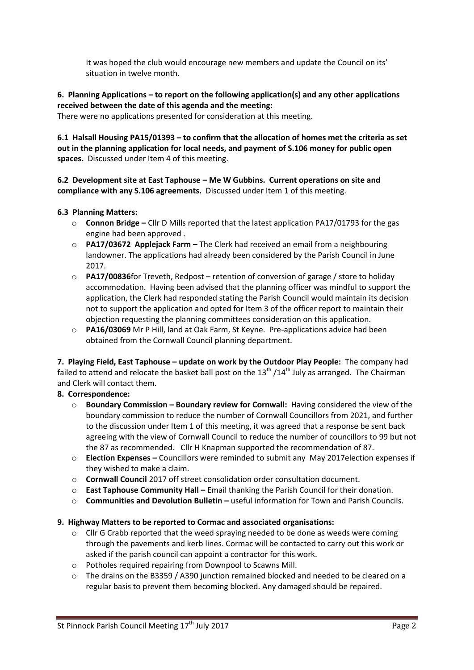It was hoped the club would encourage new members and update the Council on its' situation in twelve month.

# **6. Planning Applications – to report on the following application(s) and any other applications received between the date of this agenda and the meeting:**

There were no applications presented for consideration at this meeting.

**6.1 Halsall Housing PA15/01393 – to confirm that the allocation of homes met the criteria as set out in the planning application for local needs, and payment of S.106 money for public open spaces.** Discussed under Item 4 of this meeting.

### **6.2 Development site at East Taphouse – Me W Gubbins. Current operations on site and compliance with any S.106 agreements.** Discussed under Item 1 of this meeting.

### **6.3 Planning Matters:**

- o **Connon Bridge –** Cllr D Mills reported that the latest application PA17/01793 for the gas engine had been approved .
- o **PA17/03672 Applejack Farm –** The Clerk had received an email from a neighbouring landowner. The applications had already been considered by the Parish Council in June 2017.
- o **PA17/00836**for Treveth, Redpost retention of conversion of garage / store to holiday accommodation. Having been advised that the planning officer was mindful to support the application, the Clerk had responded stating the Parish Council would maintain its decision not to support the application and opted for Item 3 of the officer report to maintain their objection requesting the planning committees consideration on this application.
- o **PA16/03069** Mr P Hill, land at Oak Farm, St Keyne. Pre-applications advice had been obtained from the Cornwall Council planning department.

**7. Playing Field, East Taphouse – update on work by the Outdoor Play People:** The company had failed to attend and relocate the basket ball post on the  $13^{\text{th}}$  /14<sup>th</sup> July as arranged. The Chairman and Clerk will contact them.

# **8. Correspondence:**

- o **Boundary Commission – Boundary review for Cornwall:** Having considered the view of the boundary commission to reduce the number of Cornwall Councillors from 2021, and further to the discussion under Item 1 of this meeting, it was agreed that a response be sent back agreeing with the view of Cornwall Council to reduce the number of councillors to 99 but not the 87 as recommended. Cllr H Knapman supported the recommendation of 87.
- o **Election Expenses –** Councillors were reminded to submit any May 2017election expenses if they wished to make a claim.
- o **Cornwall Council** 2017 off street consolidation order consultation document.
- o **East Taphouse Community Hall –** Email thanking the Parish Council for their donation.
- o **Communities and Devolution Bulletin –** useful information for Town and Parish Councils.

# **9. Highway Matters to be reported to Cormac and associated organisations:**

- $\circ$  Cllr G Crabb reported that the weed spraying needed to be done as weeds were coming through the pavements and kerb lines. Cormac will be contacted to carry out this work or asked if the parish council can appoint a contractor for this work.
- o Potholes required repairing from Downpool to Scawns Mill.
- o The drains on the B3359 / A390 junction remained blocked and needed to be cleared on a regular basis to prevent them becoming blocked. Any damaged should be repaired.